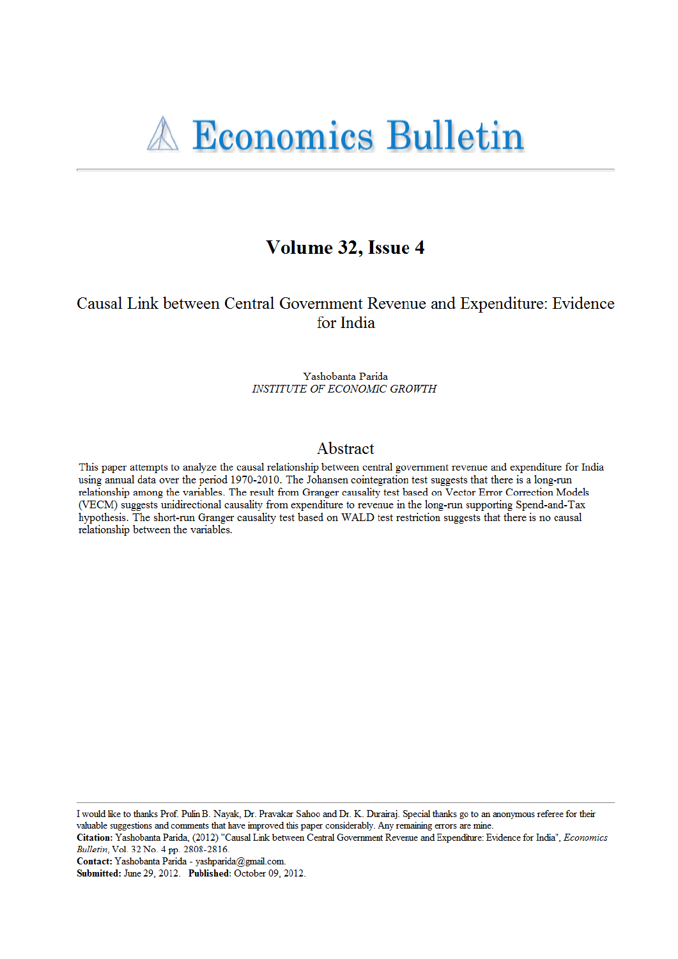# Volume 32, Issue 4

## Causal Link between Central Government Revenue and Expenditure: Evidence for India

Yashobanta Parida **INSTITUTE OF ECONOMIC GROWTH** 

## Abstract

This paper attempts to analyze the causal relationship between central government revenue and expenditure for India using annual data over the period 1970-2010. The Johansen cointegration test suggests that there is a long-run relationship among the variables. The result from Granger causality test based on Vector Error Correction Models (VECM) suggests unidirectional causality from expenditure to revenue in the long-run supporting Spend-and-Tax hypothesis. The short-run Granger causality test based on WALD test restriction suggests that there is no causal relationship between the variables.

I would like to thanks Prof. Pulin B. Nayak, Dr. Pravakar Sahoo and Dr. K. Durairaj. Special thanks go to an anonymous referee for their valuable suggestions and comments that have improved this paper considerably. Any remaining errors are mine.

Citation: Yashobanta Parida, (2012) "Causal Link between Central Government Revenue and Expenditure: Evidence for India", Economics Bulletin, Vol. 32 No. 4 pp. 2808-2816.

Contact: Yashobanta Parida - yashparida@gmail.com.

Submitted: June 29, 2012. Published: October 09, 2012.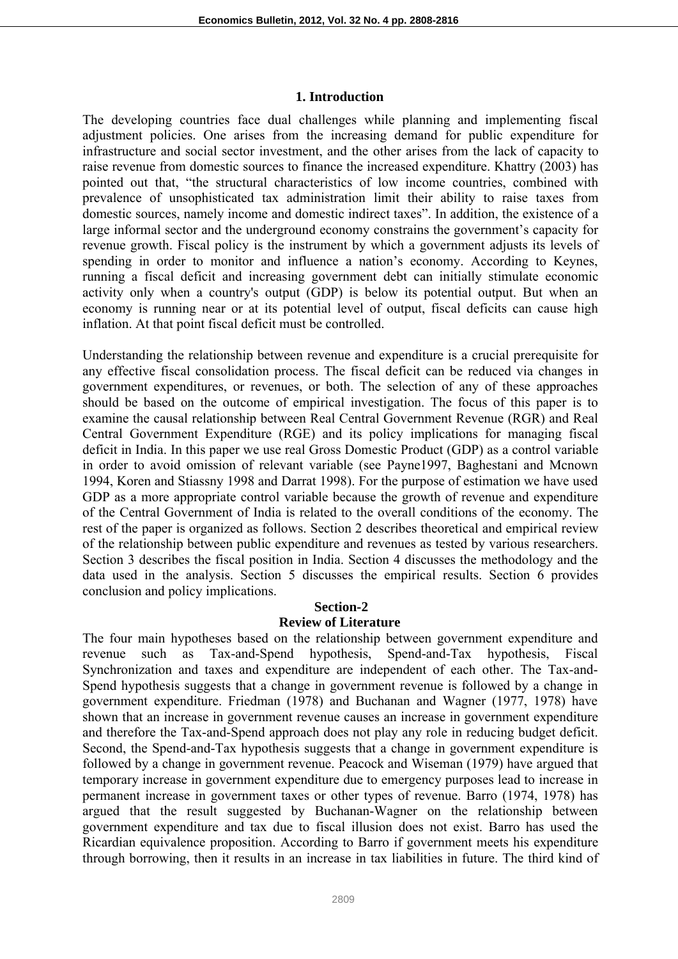### **1. Introduction**

The developing countries face dual challenges while planning and implementing fiscal adjustment policies. One arises from the increasing demand for public expenditure for infrastructure and social sector investment, and the other arises from the lack of capacity to raise revenue from domestic sources to finance the increased expenditure. Khattry (2003) has pointed out that, "the structural characteristics of low income countries, combined with prevalence of unsophisticated tax administration limit their ability to raise taxes from domestic sources, namely income and domestic indirect taxes". In addition, the existence of a large informal sector and the underground economy constrains the government's capacity for revenue growth. Fiscal policy is the instrument by which a government adjusts its levels of spending in order to monitor and influence a nation's economy. According to Keynes, running a fiscal deficit and increasing government debt can initially stimulate economic activity only when a country's output (GDP) is below its potential output. But when an economy is running near or at its potential level of output, fiscal deficits can cause high inflation. At that point fiscal deficit must be controlled.

Understanding the relationship between revenue and expenditure is a crucial prerequisite for any effective fiscal consolidation process. The fiscal deficit can be reduced via changes in government expenditures, or revenues, or both. The selection of any of these approaches should be based on the outcome of empirical investigation. The focus of this paper is to examine the causal relationship between Real Central Government Revenue (RGR) and Real Central Government Expenditure (RGE) and its policy implications for managing fiscal deficit in India. In this paper we use real Gross Domestic Product (GDP) as a control variable in order to avoid omission of relevant variable (see Payne1997, Baghestani and Mcnown 1994, Koren and Stiassny 1998 and Darrat 1998). For the purpose of estimation we have used GDP as a more appropriate control variable because the growth of revenue and expenditure of the Central Government of India is related to the overall conditions of the economy. The rest of the paper is organized as follows. Section 2 describes theoretical and empirical review of the relationship between public expenditure and revenues as tested by various researchers. Section 3 describes the fiscal position in India. Section 4 discusses the methodology and the data used in the analysis. Section 5 discusses the empirical results. Section 6 provides conclusion and policy implications.

## **Section-2 Review of Literature**

The four main hypotheses based on the relationship between government expenditure and revenue such as Tax-and-Spend hypothesis, Spend-and-Tax hypothesis, Fiscal Synchronization and taxes and expenditure are independent of each other. The Tax-and-Spend hypothesis suggests that a change in government revenue is followed by a change in government expenditure. Friedman (1978) and Buchanan and Wagner (1977, 1978) have shown that an increase in government revenue causes an increase in government expenditure and therefore the Tax-and-Spend approach does not play any role in reducing budget deficit. Second, the Spend-and-Tax hypothesis suggests that a change in government expenditure is followed by a change in government revenue. Peacock and Wiseman (1979) have argued that temporary increase in government expenditure due to emergency purposes lead to increase in permanent increase in government taxes or other types of revenue. Barro (1974, 1978) has argued that the result suggested by Buchanan-Wagner on the relationship between government expenditure and tax due to fiscal illusion does not exist. Barro has used the Ricardian equivalence proposition. According to Barro if government meets his expenditure through borrowing, then it results in an increase in tax liabilities in future. The third kind of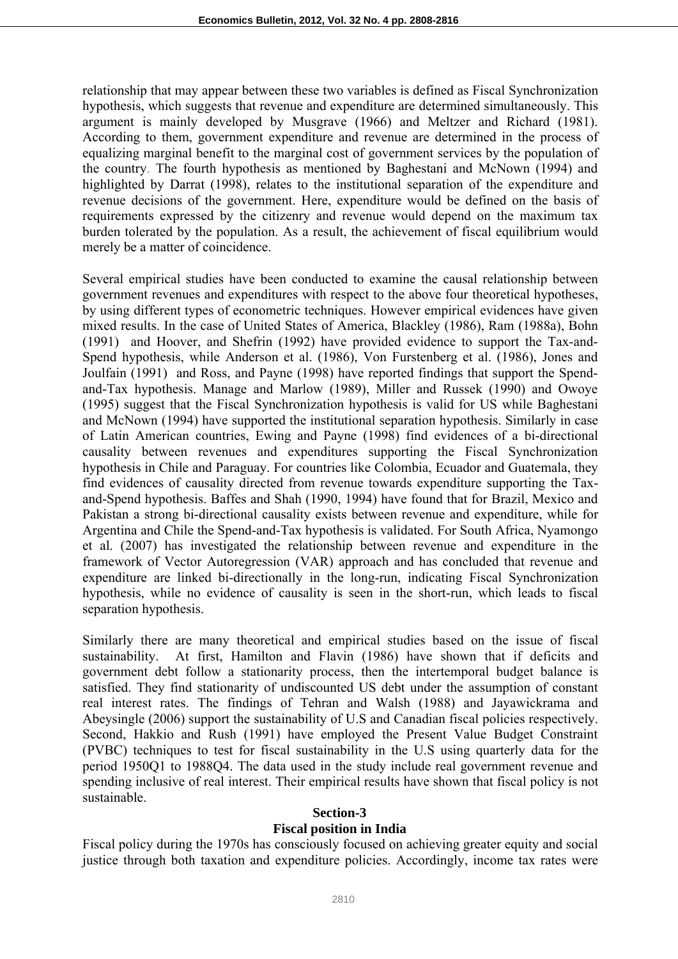relationship that may appear between these two variables is defined as Fiscal Synchronization hypothesis, which suggests that revenue and expenditure are determined simultaneously. This argument is mainly developed by Musgrave (1966) and Meltzer and Richard (1981). According to them, government expenditure and revenue are determined in the process of equalizing marginal benefit to the marginal cost of government services by the population of the country. The fourth hypothesis as mentioned by Baghestani and McNown (1994) and highlighted by Darrat (1998), relates to the institutional separation of the expenditure and revenue decisions of the government. Here, expenditure would be defined on the basis of requirements expressed by the citizenry and revenue would depend on the maximum tax burden tolerated by the population. As a result, the achievement of fiscal equilibrium would merely be a matter of coincidence.

Several empirical studies have been conducted to examine the causal relationship between government revenues and expenditures with respect to the above four theoretical hypotheses, by using different types of econometric techniques. However empirical evidences have given mixed results. In the case of United States of America, Blackley (1986), Ram (1988a), Bohn (1991) and Hoover, and Shefrin (1992) have provided evidence to support the Tax-and-Spend hypothesis, while Anderson et al. (1986), Von Furstenberg et al. (1986), Jones and Joulfain (1991) and Ross, and Payne (1998) have reported findings that support the Spendand-Tax hypothesis. Manage and Marlow (1989), Miller and Russek (1990) and Owoye (1995) suggest that the Fiscal Synchronization hypothesis is valid for US while Baghestani and McNown (1994) have supported the institutional separation hypothesis. Similarly in case of Latin American countries, Ewing and Payne (1998) find evidences of a bi-directional causality between revenues and expenditures supporting the Fiscal Synchronization hypothesis in Chile and Paraguay. For countries like Colombia, Ecuador and Guatemala, they find evidences of causality directed from revenue towards expenditure supporting the Taxand-Spend hypothesis. Baffes and Shah (1990, 1994) have found that for Brazil, Mexico and Pakistan a strong bi-directional causality exists between revenue and expenditure, while for Argentina and Chile the Spend-and-Tax hypothesis is validated. For South Africa, Nyamongo et al. (2007) has investigated the relationship between revenue and expenditure in the framework of Vector Autoregression (VAR) approach and has concluded that revenue and expenditure are linked bi-directionally in the long-run, indicating Fiscal Synchronization hypothesis, while no evidence of causality is seen in the short-run, which leads to fiscal separation hypothesis.

Similarly there are many theoretical and empirical studies based on the issue of fiscal sustainability. At first, Hamilton and Flavin (1986) have shown that if deficits and government debt follow a stationarity process, then the intertemporal budget balance is satisfied. They find stationarity of undiscounted US debt under the assumption of constant real interest rates. The findings of Tehran and Walsh (1988) and Jayawickrama and Abeysingle (2006) support the sustainability of U.S and Canadian fiscal policies respectively. Second, Hakkio and Rush (1991) have employed the Present Value Budget Constraint (PVBC) techniques to test for fiscal sustainability in the U.S using quarterly data for the period 1950Q1 to 1988Q4. The data used in the study include real government revenue and spending inclusive of real interest. Their empirical results have shown that fiscal policy is not sustainable.

## **Section-3**

## **Fiscal position in India**

Fiscal policy during the 1970s has consciously focused on achieving greater equity and social justice through both taxation and expenditure policies. Accordingly, income tax rates were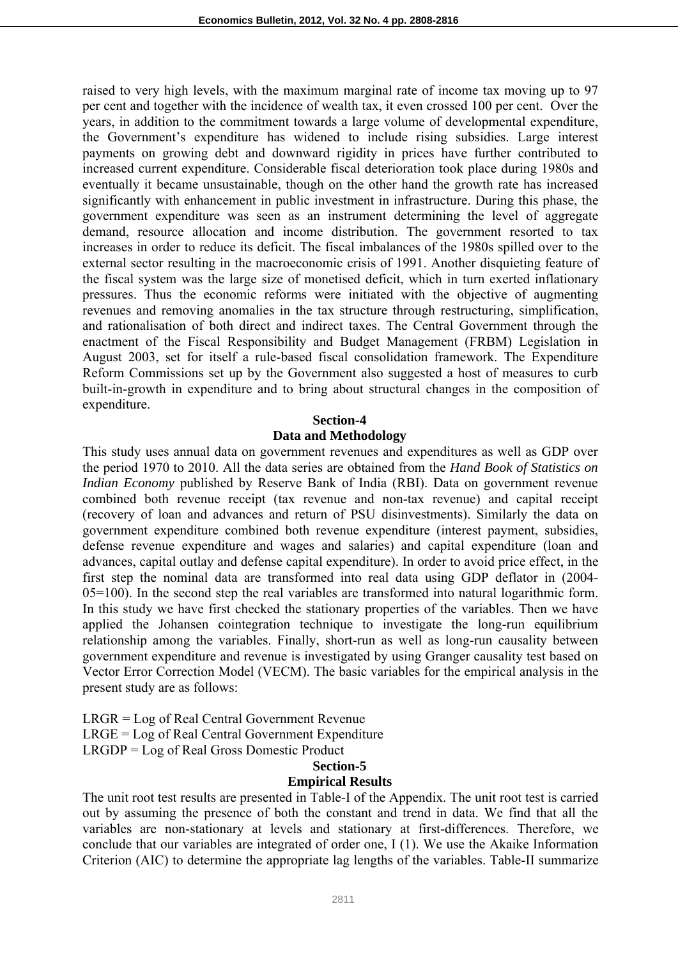raised to very high levels, with the maximum marginal rate of income tax moving up to 97 per cent and together with the incidence of wealth tax, it even crossed 100 per cent. Over the years, in addition to the commitment towards a large volume of developmental expenditure, the Government's expenditure has widened to include rising subsidies. Large interest payments on growing debt and downward rigidity in prices have further contributed to increased current expenditure. Considerable fiscal deterioration took place during 1980s and eventually it became unsustainable, though on the other hand the growth rate has increased significantly with enhancement in public investment in infrastructure. During this phase, the government expenditure was seen as an instrument determining the level of aggregate demand, resource allocation and income distribution. The government resorted to tax increases in order to reduce its deficit. The fiscal imbalances of the 1980s spilled over to the external sector resulting in the macroeconomic crisis of 1991. Another disquieting feature of the fiscal system was the large size of monetised deficit, which in turn exerted inflationary pressures. Thus the economic reforms were initiated with the objective of augmenting revenues and removing anomalies in the tax structure through restructuring, simplification, and rationalisation of both direct and indirect taxes. The Central Government through the enactment of the Fiscal Responsibility and Budget Management (FRBM) Legislation in August 2003, set for itself a rule-based fiscal consolidation framework. The Expenditure Reform Commissions set up by the Government also suggested a host of measures to curb built-in-growth in expenditure and to bring about structural changes in the composition of expenditure.

#### **Section-4**

#### **Data and Methodology**

This study uses annual data on government revenues and expenditures as well as GDP over the period 1970 to 2010. All the data series are obtained from the *Hand Book of Statistics on Indian Economy* published by Reserve Bank of India (RBI). Data on government revenue combined both revenue receipt (tax revenue and non-tax revenue) and capital receipt (recovery of loan and advances and return of PSU disinvestments). Similarly the data on government expenditure combined both revenue expenditure (interest payment, subsidies, defense revenue expenditure and wages and salaries) and capital expenditure (loan and advances, capital outlay and defense capital expenditure). In order to avoid price effect, in the first step the nominal data are transformed into real data using GDP deflator in (2004- 05=100). In the second step the real variables are transformed into natural logarithmic form. In this study we have first checked the stationary properties of the variables. Then we have applied the Johansen cointegration technique to investigate the long-run equilibrium relationship among the variables. Finally, short-run as well as long-run causality between government expenditure and revenue is investigated by using Granger causality test based on Vector Error Correction Model (VECM). The basic variables for the empirical analysis in the present study are as follows:

LRGR = Log of Real Central Government Revenue LRGE = Log of Real Central Government Expenditure LRGDP = Log of Real Gross Domestic Product

#### **Section-5**

## **Empirical Results**

The unit root test results are presented in Table-I of the Appendix. The unit root test is carried out by assuming the presence of both the constant and trend in data. We find that all the variables are non-stationary at levels and stationary at first-differences. Therefore, we conclude that our variables are integrated of order one, I (1). We use the Akaike Information Criterion (AIC) to determine the appropriate lag lengths of the variables. Table-II summarize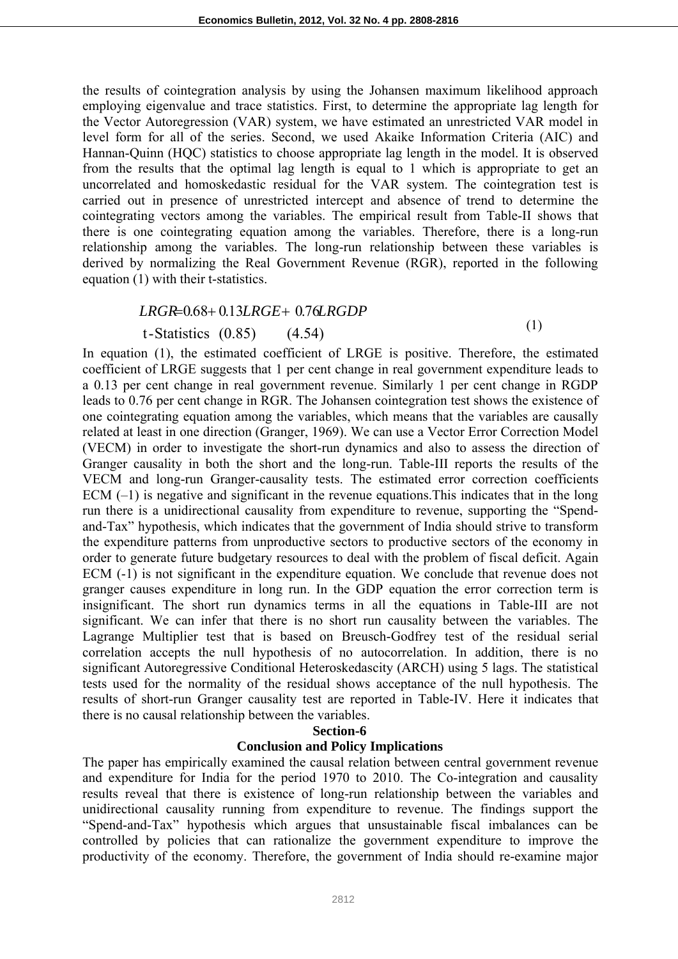the results of cointegration analysis by using the Johansen maximum likelihood approach employing eigenvalue and trace statistics. First, to determine the appropriate lag length for the Vector Autoregression (VAR) system, we have estimated an unrestricted VAR model in level form for all of the series. Second, we used Akaike Information Criteria (AIC) and Hannan-Quinn (HQC) statistics to choose appropriate lag length in the model. It is observed from the results that the optimal lag length is equal to 1 which is appropriate to get an uncorrelated and homoskedastic residual for the VAR system. The cointegration test is carried out in presence of unrestricted intercept and absence of trend to determine the cointegrating vectors among the variables. The empirical result from Table-II shows that there is one cointegrating equation among the variables. Therefore, there is a long-run relationship among the variables. The long-run relationship between these variables is derived by normalizing the Real Government Revenue (RGR), reported in the following equation (1) with their t-statistics.

## *LRGR*=0.68+ 0.13*LRGE*+ 0.76*LRGDP*

## t-Statistics (0.85) (4.54)

(1)

In equation (1), the estimated coefficient of LRGE is positive. Therefore, the estimated coefficient of LRGE suggests that 1 per cent change in real government expenditure leads to a 0.13 per cent change in real government revenue. Similarly 1 per cent change in RGDP leads to 0.76 per cent change in RGR. The Johansen cointegration test shows the existence of one cointegrating equation among the variables, which means that the variables are causally related at least in one direction (Granger, 1969). We can use a Vector Error Correction Model (VECM) in order to investigate the short-run dynamics and also to assess the direction of Granger causality in both the short and the long-run. Table-III reports the results of the VECM and long-run Granger-causality tests. The estimated error correction coefficients ECM  $(-1)$  is negative and significant in the revenue equations. This indicates that in the long run there is a unidirectional causality from expenditure to revenue, supporting the "Spendand-Tax" hypothesis, which indicates that the government of India should strive to transform the expenditure patterns from unproductive sectors to productive sectors of the economy in order to generate future budgetary resources to deal with the problem of fiscal deficit. Again ECM (-1) is not significant in the expenditure equation. We conclude that revenue does not granger causes expenditure in long run. In the GDP equation the error correction term is insignificant. The short run dynamics terms in all the equations in Table-III are not significant. We can infer that there is no short run causality between the variables. The Lagrange Multiplier test that is based on Breusch-Godfrey test of the residual serial correlation accepts the null hypothesis of no autocorrelation. In addition, there is no significant Autoregressive Conditional Heteroskedascity (ARCH) using 5 lags. The statistical tests used for the normality of the residual shows acceptance of the null hypothesis. The results of short-run Granger causality test are reported in Table-IV. Here it indicates that there is no causal relationship between the variables.

#### **Section-6**

## **Conclusion and Policy Implications**

The paper has empirically examined the causal relation between central government revenue and expenditure for India for the period 1970 to 2010. The Co-integration and causality results reveal that there is existence of long-run relationship between the variables and unidirectional causality running from expenditure to revenue. The findings support the "Spend-and-Tax" hypothesis which argues that unsustainable fiscal imbalances can be controlled by policies that can rationalize the government expenditure to improve the productivity of the economy. Therefore, the government of India should re-examine major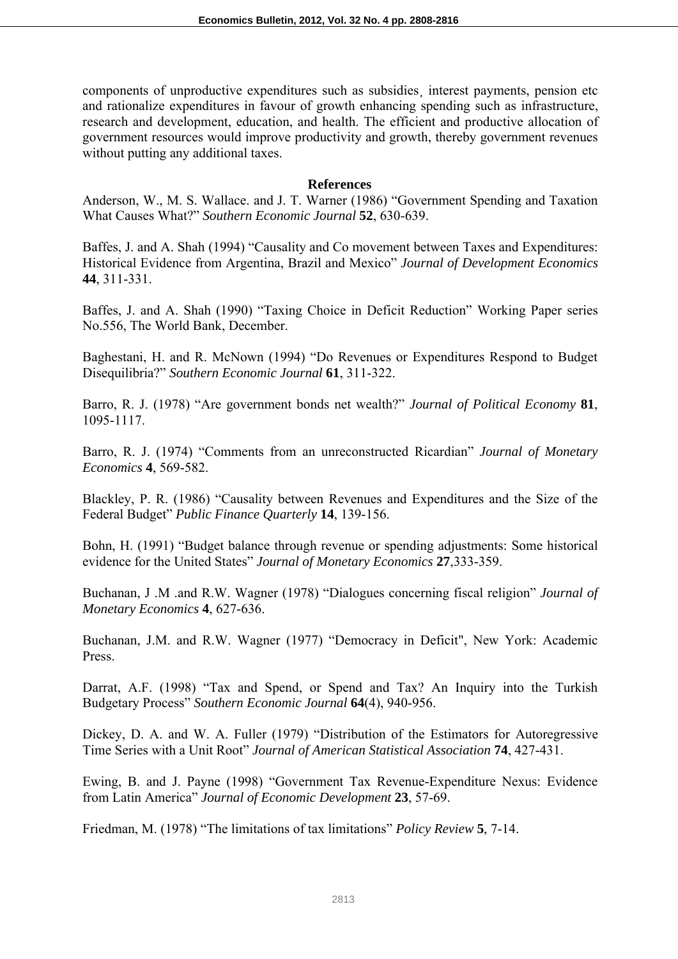components of unproductive expenditures such as subsidies¸ interest payments, pension etc and rationalize expenditures in favour of growth enhancing spending such as infrastructure, research and development, education, and health. The efficient and productive allocation of government resources would improve productivity and growth, thereby government revenues without putting any additional taxes.

### **References**

Anderson, W., M. S. Wallace. and J. T. Warner (1986) "Government Spending and Taxation What Causes What?" *Southern Economic Journal* **52**, 630-639.

Baffes, J. and A. Shah (1994) "Causality and Co movement between Taxes and Expenditures: Historical Evidence from Argentina, Brazil and Mexico" *Journal of Development Economics* **44**, 311-331.

Baffes, J. and A. Shah (1990) "Taxing Choice in Deficit Reduction" Working Paper series No.556, The World Bank, December.

Baghestani, H. and R. McNown (1994) "Do Revenues or Expenditures Respond to Budget Disequilibria?" *Southern Economic Journal* **61**, 311-322.

Barro, R. J. (1978) "Are government bonds net wealth?" *Journal of Political Economy* **81**, 1095-1117.

Barro, R. J. (1974) "Comments from an unreconstructed Ricardian" *Journal of Monetary Economics* **4**, 569-582.

Blackley, P. R. (1986) "Causality between Revenues and Expenditures and the Size of the Federal Budget" *Public Finance Quarterly* **14**, 139-156.

Bohn, H. (1991) "Budget balance through revenue or spending adjustments: Some historical evidence for the United States" *Journal of Monetary Economics* **27**,333-359.

Buchanan, J .M .and R.W. Wagner (1978) "Dialogues concerning fiscal religion" *Journal of Monetary Economics* **4**, 627-636.

Buchanan, J.M. and R.W. Wagner (1977) "Democracy in Deficit", New York: Academic Press.

Darrat, A.F. (1998) "Tax and Spend, or Spend and Tax? An Inquiry into the Turkish Budgetary Process" *Southern Economic Journal* **64**(4), 940-956.

Dickey, D. A. and W. A. Fuller (1979) "Distribution of the Estimators for Autoregressive Time Series with a Unit Root" *Journal of American Statistical Association* **74**, 427-431.

Ewing, B. and J. Payne (1998) "Government Tax Revenue-Expenditure Nexus: Evidence from Latin America" *Journal of Economic Development* **23**, 57-69.

Friedman, M. (1978) "The limitations of tax limitations" *Policy Review* **5**, 7-14.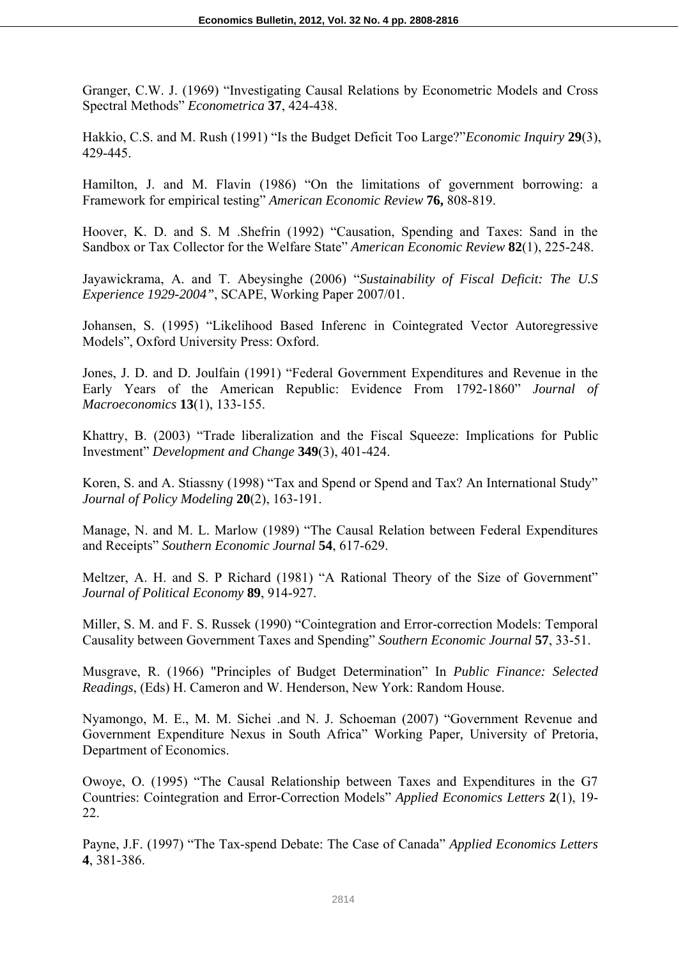Granger, C.W. J. (1969) "Investigating Causal Relations by Econometric Models and Cross Spectral Methods" *Econometrica* **37**, 424-438.

Hakkio, C.S. and M. Rush (1991) "Is the Budget Deficit Too Large?"*Economic Inquiry* **29**(3), 429-445.

Hamilton, J. and M. Flavin (1986) "On the limitations of government borrowing: a Framework for empirical testing" *American Economic Review* **76,** 808-819.

Hoover, K. D. and S. M .Shefrin (1992) "Causation, Spending and Taxes: Sand in the Sandbox or Tax Collector for the Welfare State" *American Economic Review* **82**(1), 225-248.

Jayawickrama, A. and T. Abeysinghe (2006) "*Sustainability of Fiscal Deficit: The U.S Experience 1929-2004"*, SCAPE, Working Paper 2007/01.

Johansen, S. (1995) "Likelihood Based Inferenc in Cointegrated Vector Autoregressive Models", Oxford University Press: Oxford.

Jones, J. D. and D. Joulfain (1991) "Federal Government Expenditures and Revenue in the Early Years of the American Republic: Evidence From 1792-1860" *Journal of Macroeconomics* **13**(1), 133-155.

Khattry, B. (2003) "Trade liberalization and the Fiscal Squeeze: Implications for Public Investment" *Development and Change* **349**(3), 401-424.

Koren, S. and A. Stiassny (1998) "Tax and Spend or Spend and Tax? An International Study" *Journal of Policy Modeling* **20**(2), 163-191.

Manage, N. and M. L. Marlow (1989) "The Causal Relation between Federal Expenditures and Receipts" *Southern Economic Journal* **54**, 617-629.

Meltzer, A. H. and S. P Richard (1981) "A Rational Theory of the Size of Government" *Journal of Political Economy* **89**, 914-927.

Miller, S. M. and F. S. Russek (1990) "Cointegration and Error-correction Models: Temporal Causality between Government Taxes and Spending" *Southern Economic Journal* **57**, 33-51.

Musgrave, R. (1966) "Principles of Budget Determination" In *Public Finance: Selected Readings*, (Eds) H. Cameron and W. Henderson, New York: Random House.

Nyamongo, M. E., M. M. Sichei .and N. J. Schoeman (2007) "Government Revenue and Government Expenditure Nexus in South Africa" Working Paper*,* University of Pretoria, Department of Economics.

Owoye, O. (1995) "The Causal Relationship between Taxes and Expenditures in the G7 Countries: Cointegration and Error-Correction Models" *Applied Economics Letters* **2**(1), 19- 22.

Payne, J.F. (1997) "The Tax-spend Debate: The Case of Canada" *Applied Economics Letters* **4**, 381-386.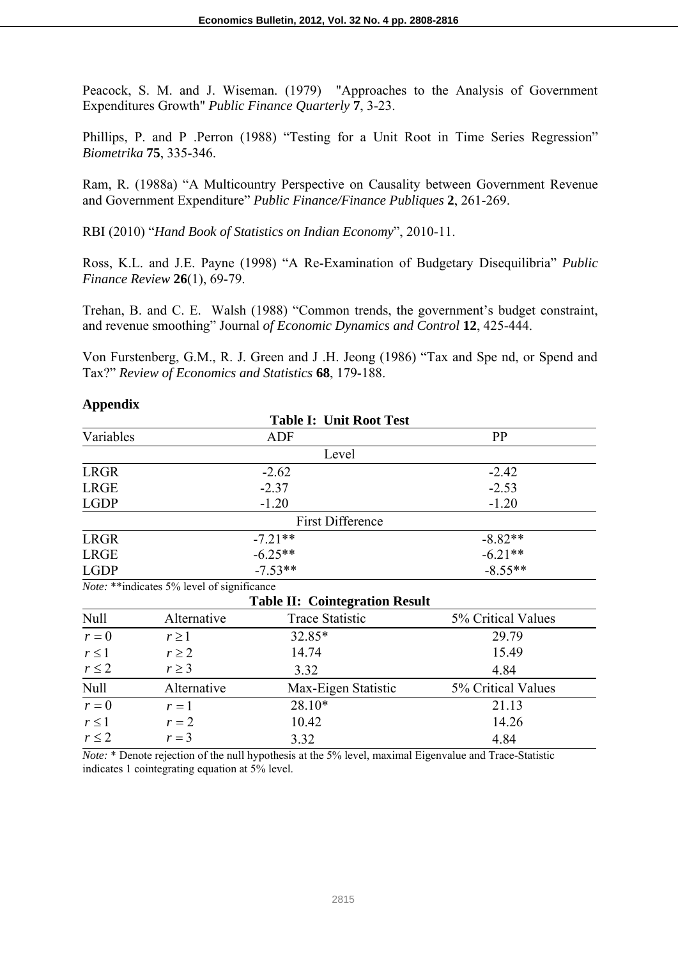Peacock, S. M. and J. Wiseman. (1979) "Approaches to the Analysis of Government Expenditures Growth" *Public Finance Quarterly* **7**, 3-23.

Phillips, P. and P .Perron (1988) "Testing for a Unit Root in Time Series Regression" *Biometrika* **75**, 335-346.

Ram, R. (1988a) "A Multicountry Perspective on Causality between Government Revenue and Government Expenditure" *Public Finance/Finance Publiques* **2**, 261-269.

RBI (2010) "*Hand Book of Statistics on Indian Economy*", 2010-11.

Ross, K.L. and J.E. Payne (1998) "A Re-Examination of Budgetary Disequilibria" *Public Finance Review* **26**(1), 69-79.

Trehan, B. and C. E. Walsh (1988) "Common trends, the government's budget constraint, and revenue smoothing" Journal *of Economic Dynamics and Control* **12**, 425-444.

Von Furstenberg, G.M., R. J. Green and J .H. Jeong (1986) "Tax and Spe nd, or Spend and Tax?" *Review of Economics and Statistics* **68**, 179-188.

|             |                                             | <b>Table I: Unit Root Test</b>        |                    |
|-------------|---------------------------------------------|---------------------------------------|--------------------|
| Variables   |                                             | <b>ADF</b>                            | PP                 |
|             |                                             | Level                                 |                    |
| <b>LRGR</b> |                                             | $-2.62$                               | $-2.42$            |
| <b>LRGE</b> |                                             | $-2.37$                               | $-2.53$            |
| <b>LGDP</b> |                                             | $-1.20$                               | $-1.20$            |
|             |                                             | <b>First Difference</b>               |                    |
| <b>LRGR</b> | $-7.21**$                                   |                                       | $-8.82**$          |
| <b>LRGE</b> |                                             | $-6.25**$                             | $-6.21**$          |
| <b>LGDP</b> |                                             | $-7.53**$                             | $-8.55**$          |
|             | Note: ** indicates 5% level of significance |                                       |                    |
|             |                                             | <b>Table II: Cointegration Result</b> |                    |
| <b>Null</b> | Alternative                                 | <b>Trace Statistic</b>                | 5% Critical Values |
| $r=0$       | $r \geq 1$                                  | 32.85*                                | 29.79              |
| $r \leq 1$  | $r \geq 2$                                  | 14.74                                 | 15.49              |
| $r \leq 2$  | $r \geq 3$                                  | 3.32                                  | 4.84               |
| Null        | Alternative                                 | Max-Eigen Statistic                   | 5% Critical Values |
| $r = 0$     | $r=1$                                       | 28.10*                                | 21.13              |
| $r \leq 1$  | $r=2$                                       | 10.42                                 | 14.26              |
| $r \leq 2$  | $r=3$                                       | 3.32                                  | 4.84               |

**Appendix**

*Note:* \* Denote rejection of the null hypothesis at the 5% level, maximal Eigenvalue and Trace-Statistic indicates 1 cointegrating equation at 5% level.